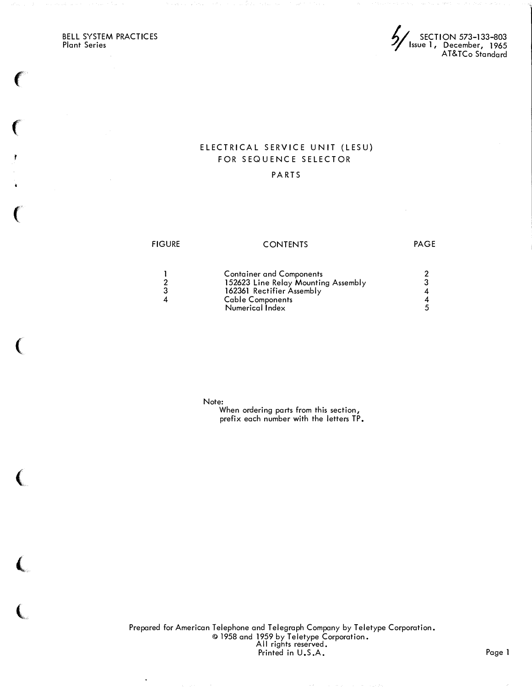BELL SYSTEM PRACTICES Plant Series

 $\epsilon$ 

 $\left($ 

 $\mathbf C$ 

(

(

(

 $\big($ 

**//** SECTION 573-133-803<br>Issue 1, December, 1965 AT&TCo Standard

4 5

## ELECTRICAL SERVICE UNIT (LESU) FOR SEQUENCE SELECTOR

## **PARTS**

## **FIGURE** 1 2 3 CONTENTS Container and Components 152623 Line Relay Mounting Assembly 162361 Rectifier Assembly PAGE 2 3 4

Cable Components Numerical Index

Note:

4

When ordering parts from this section, prefix each number with the letters TP.

Prepared tor American Telephone and Telegraph Company by Teletype Corporation. © 1958 and 1959 by Teletype Corporation. A II rights reserved. Printed in U.S.A. Page 1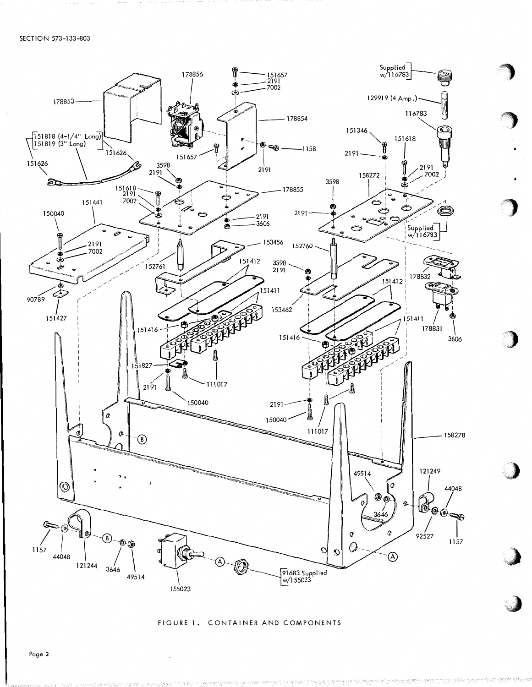

FIGURE 1. CONTAINER AND COMPONENTS

 $\bar{\mathcal{A}}$ 

Page 2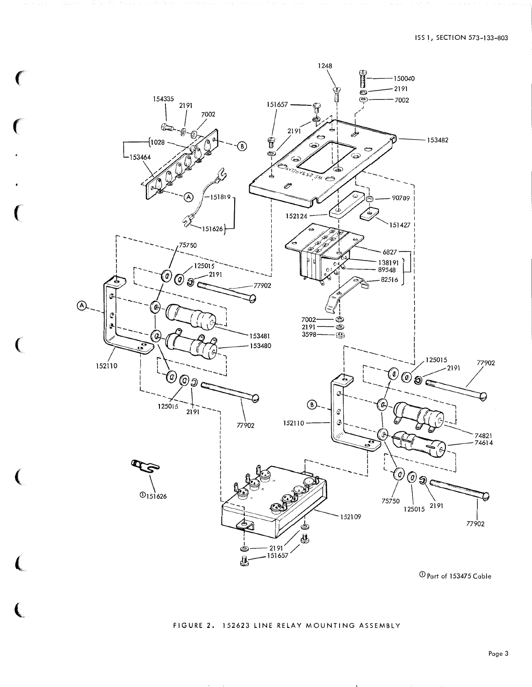

 $\sim$ 

€

€

 $\big($ 

FIGURE 2. 152623 LINE RELAY MOUNTING ASSEMBLY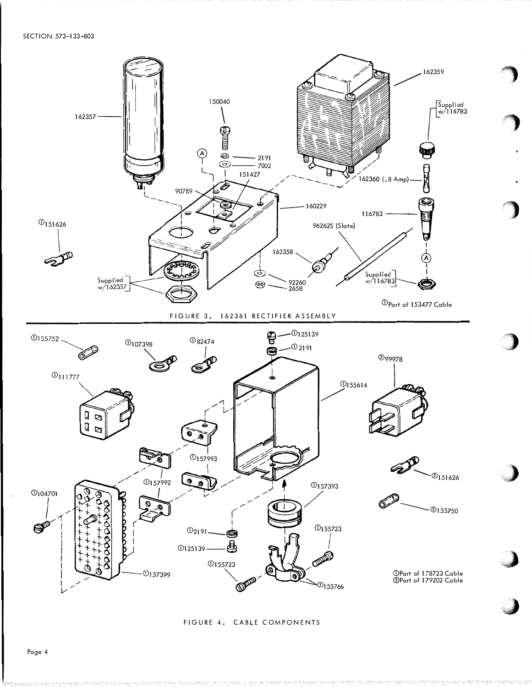

FIGURE 4. CABLE COMPONENTS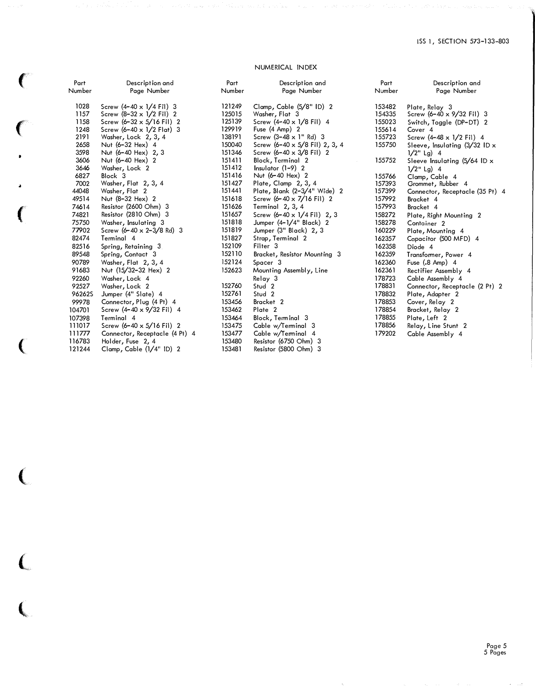## NUMERICAL INDEX

 $\big($ 

 $\big($ 

 $\bullet$ 

..

 $\left($ 

 $\big($ 

(

 $\big($ 

.

| Part   | Description and                            | Part   | Description and                            | Part   | Description and                        |
|--------|--------------------------------------------|--------|--------------------------------------------|--------|----------------------------------------|
| Number | Page Number                                | Number | Page Number                                | Number | Page Number                            |
|        |                                            |        |                                            |        |                                        |
| 1028   | Screw $(4-40 \times 1/4$ Fil) 3            | 121249 | Clamp, Cable (5/8" ID) 2                   | 153482 | Plate, Relay 3                         |
| 1157   | Screw $(8-32 \times 1/2$ Fil) 2            | 125015 | Washer, Flat 3                             | 154335 | Screw $(6-40 \times 9/32$ Fil) 3       |
| 1158   | Screw $(6-32 \times 5/16 \text{ Fil})$ 2   | 125139 | Screw $(4-40 \times 1/8$ Fil) 4            | 155023 | Switch, Toggle (DP-DT) 2               |
| 1248   | Screw $(6-40 \times 1/2 \text{ Flat})$ 3   | 129919 | Fuse (4 Amp) 2                             | 155614 | Cover 4                                |
| 2191   | Washer, Lock 2, 3, 4                       | 138191 | Screw $(3-48 \times 1"$ Rd) 3              | 155723 | Screw $(4-48 \times 1/2$ Fil) 4        |
| 2658   | Nut (6-32 Hex) 4                           | 150040 | Screw $(6-40 \times 5/8$ Fil) 2, 3, 4      | 155750 | Sleeve, Insulating $(3/32$ ID $\times$ |
| 3598   | Nut (6-40 Hex) 2, 3                        | 151346 | Screw $(6-40 \times 3/8 \text{ Fil})$ 2    |        | $1/2$ " Lg) 4                          |
| 3606   | Nut (6-40 Hex) 2                           | 151411 | Block, Terminal 2                          | 155752 | Sleeve Insulating $(5/64$ ID $\times$  |
| 3646   | Washer, Lock 2                             | 151412 | Insulator $(1-9)$ 2                        |        | $1/2$ " Lg) 4                          |
| 6827   | Block 3                                    | 151416 | Nut (6-40 Hex) 2                           | 155766 | Clamp, Cable 4                         |
| 7002   | Washer, Flat 2, 3, 4                       | 151427 | Plate, Clamp 2, 3, 4                       | 157393 | Grommet, Rubber 4                      |
| 44048  | Washer, Flat 2                             | 151441 | Plate, Blank (2-3/4" Wide) 2               | 157399 | Connector, Receptacle (35 Pt) 4        |
| 49514  | Nut (8-32 Hex) 2                           | 151618 | Screw $(6 - 40 \times 7/16$ Fil) 2         | 157992 | Bracket 4                              |
| 74614  | Resistor (2600 Ohm) 3                      | 151626 | Terminal 2, 3, 4                           | 157993 | Bracket 4                              |
| 74821  | Resistor (2810 Ohm) 3                      | 151657 | Screw $(6-40 \times 1/4 \text{ Fil})$ 2, 3 | 158272 | Plate, Right Mounting 2                |
| 75750  | Washer, Insulating 3                       | 151818 | Jumper (4-1/4" Black) 2                    | 158278 | Container 2                            |
| 77902  | Screw $(6 - 40 \times 2 - 3/8$ Rd) 3       | 151819 | Jumper (3" Black) 2, 3                     | 160229 | Plate, Mounting 4                      |
| 82474  | Terminal 4                                 | 151827 | Strap, Terminal 2                          | 162357 | Capacitor (500 MFD) 4                  |
| 82516  | Spring, Retaining 3                        | 152109 | Filter <sub>3</sub>                        | 162358 | Diode 4                                |
| 89548  | Spring, Contact 3                          | 152110 | Bracket, Resistor Mounting 3               | 162359 | Transformer, Power 4                   |
| 90789  | Washer, Flat 2, 3, 4                       | 152124 | Spacer 3                                   | 162360 | Fuse $(.8 \text{ Amp})$ 4              |
| 91683  | Nut (15/32-32 Hex) 2                       | 152623 | Mounting Assembly, Line                    | 162361 | Rectifier Assembly 4                   |
| 92260  | Washer, Lock 4                             |        | Relay 3                                    | 178723 | Cable Assembly 4                       |
| 92527  | Washer, Lock 2                             | 152760 | Stud <sub>2</sub>                          | 178831 | Connector, Receptacle (2 Pt) 2         |
| 96262S | Jumper (4" Slate) 4                        | 152761 | Stud <sub>2</sub>                          | 178832 | Plate, Adapter 2                       |
| 99978  | Connector, Plug (4 Pt) 4                   | 153456 | Bracket 2                                  | 178853 | Cover, Relay 2                         |
| 104701 | Screw $(4 - 40 \times 9/32 \text{ Fil})$ 4 | 153462 | Plate 2                                    | 178854 | Bracket, Relay 2                       |
| 107398 | Terminal 4                                 | 153464 | Block, Terminal 3                          | 178855 | Plate, Left 2                          |
| 111017 | Screw $(6 - 40 \times 5/16$ Fil) 2         | 153475 | Cable w/Terminal 3                         | 178856 | Relay, Line Stunt 2                    |
| 111777 | Connector, Receptacle (4 Pt) 4             | 153477 | Cable w/Terminal 4                         | 179202 | Cable Assembly 4                       |
| 116783 | Holder, Fuse 2, 4                          | 153480 | Resistor (6750 Ohm) 3                      |        |                                        |
| 121244 | Clamp, Cable (1/4" ID) 2                   | 153481 | Resistor (5800 Ohm) 3                      |        |                                        |